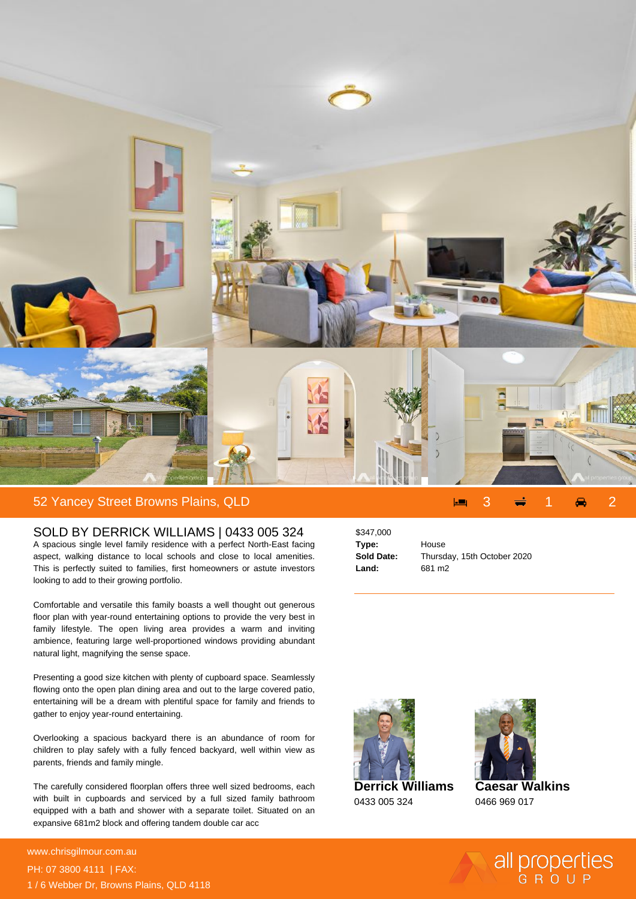

## 52 Yancey Street Browns Plains, QLD 3 1 2

## SOLD BY DERRICK WILLIAMS | 0433 005 324

A spacious single level family residence with a perfect North-East facing aspect, walking distance to local schools and close to local amenities. This is perfectly suited to families, first homeowners or astute investors looking to add to their growing portfolio.

Comfortable and versatile this family boasts a well thought out generous floor plan with year-round entertaining options to provide the very best in family lifestyle. The open living area provides a warm and inviting ambience, featuring large well-proportioned windows providing abundant natural light, magnifying the sense space.

Presenting a good size kitchen with plenty of cupboard space. Seamlessly flowing onto the open plan dining area and out to the large covered patio, entertaining will be a dream with plentiful space for family and friends to gather to enjoy year-round entertaining.

Overlooking a spacious backyard there is an abundance of room for children to play safely with a fully fenced backyard, well within view as parents, friends and family mingle.

The carefully considered floorplan offers three well sized bedrooms, each with built in cupboards and serviced by a full sized family bathroom equipped with a bath and shower with a separate toilet. Situated on an expansive 681m2 block and offering tandem double car acc

**For more details please visit https://www.chrisgilmour.com.au/5912280** www.chrisgilmour.com.au PH: 07 3800 4111 | FAX: 1 / 6 Webber Dr, Browns Plains, QLD 4118 \$347,000 **Type:** House **Land:** 681 m2

**Sold Date:** Thursday, 15th October 2020



**Derrick Williams** 0433 005 324



**Caesar Walkins** 0466 969 017